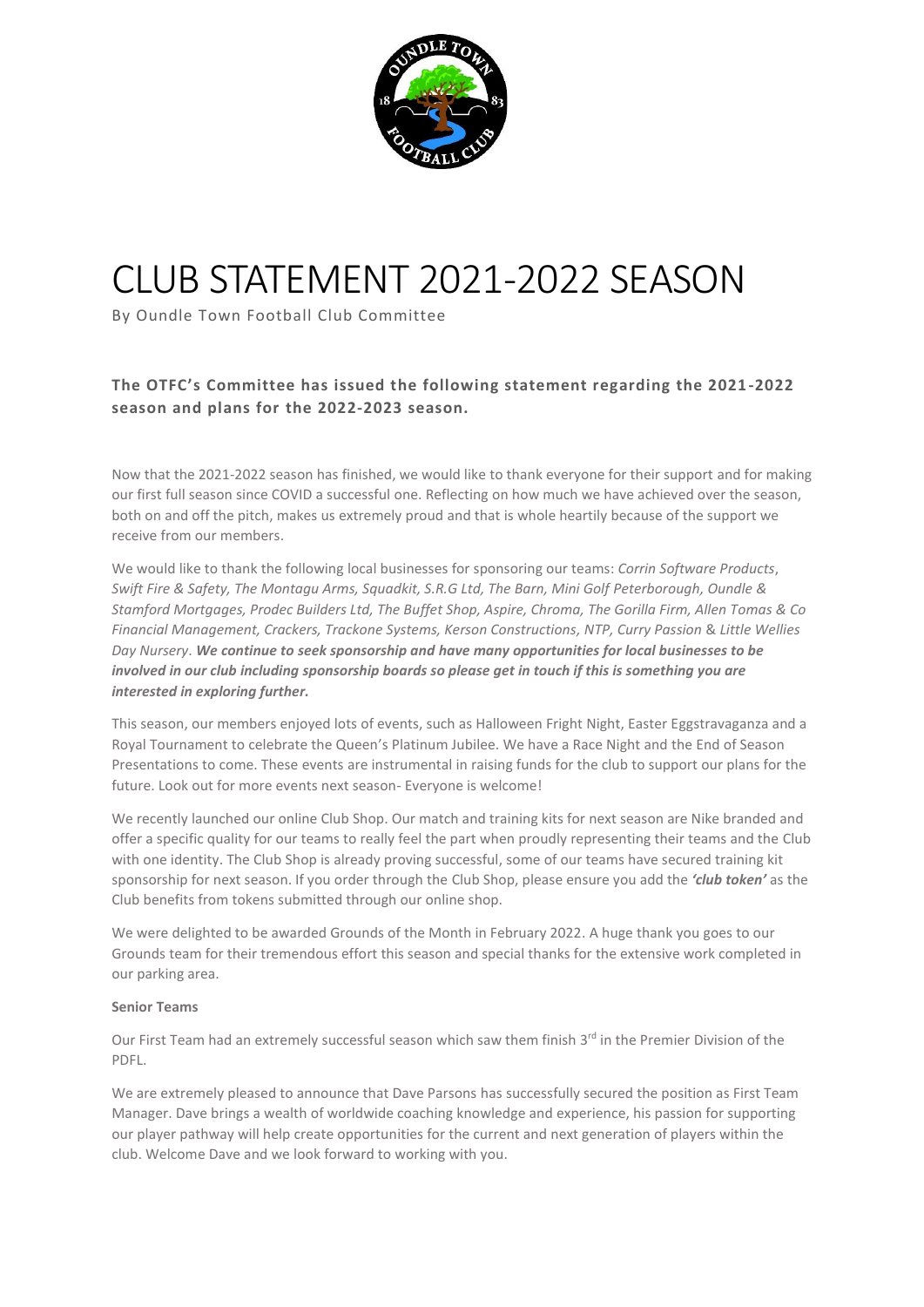

# CLUB STATEMENT 2021-2022 SEASON

By Oundle Town Football Club Committee

# **The OTFC's Committee has issued the following statement regarding the 2021 -2022 season and plans for the 2022-2023 season.**

Now that the 2021-2022 season has finished, we would like to thank everyone for their support and for making our first full season since COVID a successful one. Reflecting on how much we have achieved over the season, both on and off the pitch, makes us extremely proud and that is whole heartily because of the support we receive from our members.

We would like to thank the following local businesses for sponsoring our teams: *Corrin Software Products*, *Swift Fire & Safety, The Montagu Arms, Squadkit, S.R.G Ltd, The Barn, Mini Golf Peterborough, Oundle & Stamford Mortgages, Prodec Builders Ltd, The Buffet Shop, Aspire, Chroma, The Gorilla Firm, Allen Tomas & Co Financial Management, Crackers, Trackone Systems, Kerson Constructions, NTP, Curry Passion* & *Little Wellies Day Nursery*. *We continue to seek sponsorship and have many opportunities for local businesses to be involved in our club including sponsorship boards so please get in touch if this is something you are interested in exploring further.*

This season, our members enjoyed lots of events, such as Halloween Fright Night, Easter Eggstravaganza and a Royal Tournament to celebrate the Queen's Platinum Jubilee. We have a Race Night and the End of Season Presentations to come. These events are instrumental in raising funds for the club to support our plans for the future. Look out for more events next season- Everyone is welcome!

We recently launched our online Club Shop. Our match and training kits for next season are Nike branded and offer a specific quality for our teams to really feel the part when proudly representing their teams and the Club with one identity. The Club Shop is already proving successful, some of our teams have secured training kit sponsorship for next season. If you order through the Club Shop, please ensure you add the *'club token'* as the Club benefits from tokens submitted through our online shop.

We were delighted to be awarded Grounds of the Month in February 2022. A huge thank you goes to our Grounds team for their tremendous effort this season and special thanks for the extensive work completed in our parking area.

## **Senior Teams**

Our First Team had an extremely successful season which saw them finish 3<sup>rd</sup> in the Premier Division of the PDFL.

We are extremely pleased to announce that Dave Parsons has successfully secured the position as First Team Manager. Dave brings a wealth of worldwide coaching knowledge and experience, his passion for supporting our player pathway will help create opportunities for the current and next generation of players within the club. Welcome Dave and we look forward to working with you.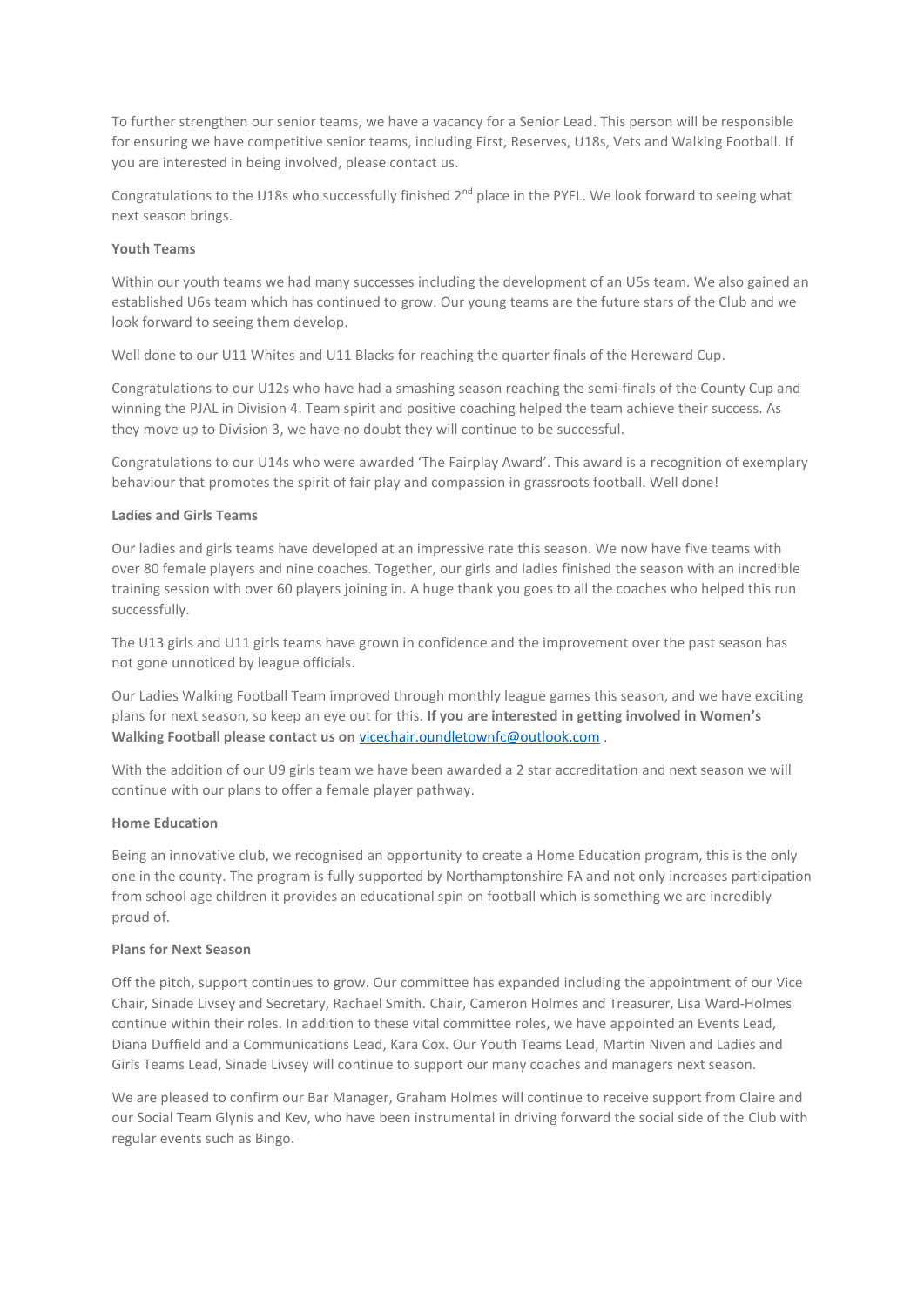To further strengthen our senior teams, we have a vacancy for a Senior Lead. This person will be responsible for ensuring we have competitive senior teams, including First, Reserves, U18s, Vets and Walking Football. If you are interested in being involved, please contact us.

Congratulations to the U18s who successfully finished 2<sup>nd</sup> place in the PYFL. We look forward to seeing what next season brings.

### **Youth Teams**

Within our youth teams we had many successes including the development of an U5s team. We also gained an established U6s team which has continued to grow. Our young teams are the future stars of the Club and we look forward to seeing them develop.

Well done to our U11 Whites and U11 Blacks for reaching the quarter finals of the Hereward Cup.

Congratulations to our U12s who have had a smashing season reaching the semi-finals of the County Cup and winning the PJAL in Division 4. Team spirit and positive coaching helped the team achieve their success. As they move up to Division 3, we have no doubt they will continue to be successful.

Congratulations to our U14s who were awarded 'The Fairplay Award'. This award is a recognition of exemplary behaviour that promotes the spirit of fair play and compassion in grassroots football. Well done!

#### **Ladies and Girls Teams**

Our ladies and girls teams have developed at an impressive rate this season. We now have five teams with over 80 female players and nine coaches. Together, our girls and ladies finished the season with an incredible training session with over 60 players joining in. A huge thank you goes to all the coaches who helped this run successfully.

The U13 girls and U11 girls teams have grown in confidence and the improvement over the past season has not gone unnoticed by league officials.

Our Ladies Walking Football Team improved through monthly league games this season, and we have exciting plans for next season, so keep an eye out for this. **If you are interested in getting involved in Women's Walking Football please contact us on** [vicechair.oundletownfc@outlook.com](mailto:vicechair.oundletownfc@outlook.com) .

With the addition of our U9 girls team we have been awarded a 2 star accreditation and next season we will continue with our plans to offer a female player pathway.

#### **Home Education**

Being an innovative club, we recognised an opportunity to create a Home Education program, this is the only one in the county. The program is fully supported by Northamptonshire FA and not only increases participation from school age children it provides an educational spin on football which is something we are incredibly proud of.

### **Plans for Next Season**

Off the pitch, support continues to grow. Our committee has expanded including the appointment of our Vice Chair, Sinade Livsey and Secretary, Rachael Smith. Chair, Cameron Holmes and Treasurer, Lisa Ward-Holmes continue within their roles. In addition to these vital committee roles, we have appointed an Events Lead, Diana Duffield and a Communications Lead, Kara Cox. Our Youth Teams Lead, Martin Niven and Ladies and Girls Teams Lead, Sinade Livsey will continue to support our many coaches and managers next season.

We are pleased to confirm our Bar Manager, Graham Holmes will continue to receive support from Claire and our Social Team Glynis and Kev, who have been instrumental in driving forward the social side of the Club with regular events such as Bingo.